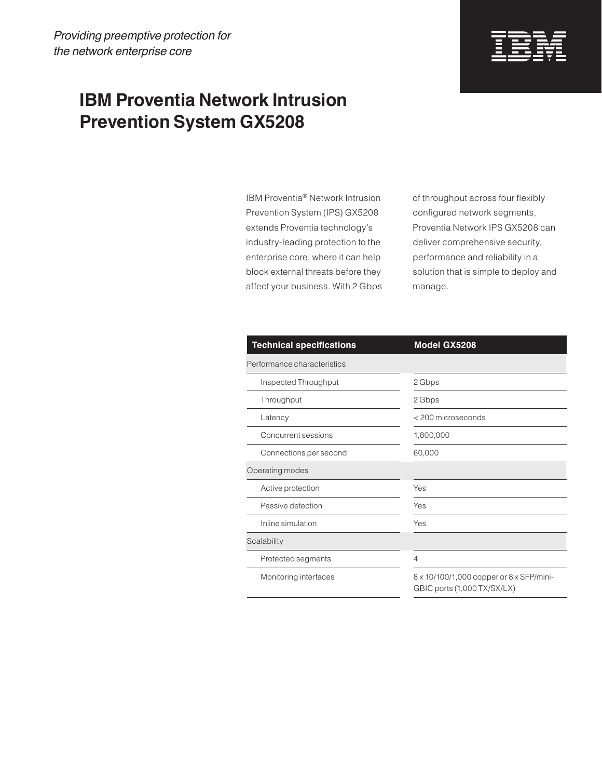

## **IBM Proventia Network Intrusion Prevention System GX5208**

IBM Proventia® Network Intrusion Prevention System (IPS) GX5208 extends Proventia technology's industry-leading protection to the enterprise core, where it can help block external threats before they affect your business. With 2 Gbps of throughput across four flexibly configured network segments, Proventia Network IPS GX5208 can deliver comprehensive security, performance and reliability in a solution that is simple to deploy and manage.

| <b>Technical specifications</b> | Model GX5208                                                            |
|---------------------------------|-------------------------------------------------------------------------|
| Performance characteristics     |                                                                         |
| Inspected Throughput            | 2 Gbps                                                                  |
| Throughput                      | 2 Gbps                                                                  |
| Latency                         | < 200 microseconds                                                      |
| Concurrent sessions             | 1,800,000                                                               |
| Connections per second          | 60,000                                                                  |
| Operating modes                 |                                                                         |
| Active protection               | Yes                                                                     |
| Passive detection               | Yes                                                                     |
| Inline simulation               | Yes                                                                     |
| Scalability                     |                                                                         |
| Protected segments              | $\overline{4}$                                                          |
| Monitoring interfaces           | 8 x 10/100/1,000 copper or 8 x SFP/mini-<br>GBIC ports (1,000 TX/SX/LX) |